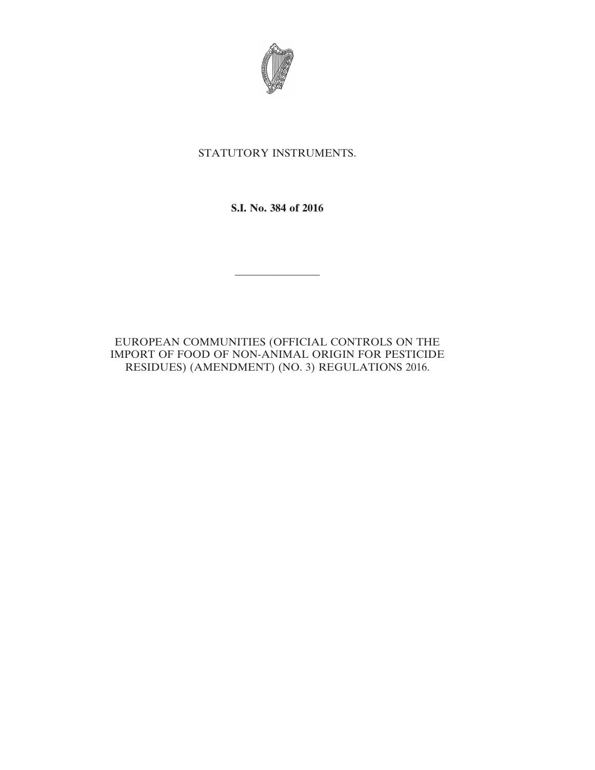

## STATUTORY INSTRUMENTS.

**S.I. No. 384 of 2016**

————————

EUROPEAN COMMUNITIES (OFFICIAL CONTROLS ON THE IMPORT OF FOOD OF NON-ANIMAL ORIGIN FOR PESTICIDE RESIDUES) (AMENDMENT) (NO. 3) REGULATIONS 2016.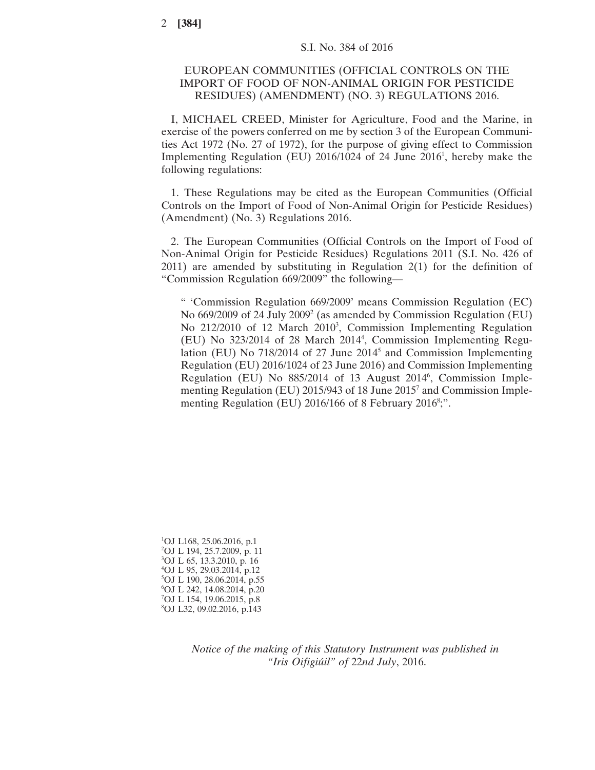## EUROPEAN COMMUNITIES (OFFICIAL CONTROLS ON THE IMPORT OF FOOD OF NON-ANIMAL ORIGIN FOR PESTICIDE RESIDUES) (AMENDMENT) (NO. 3) REGULATIONS 2016.

I, MICHAEL CREED, Minister for Agriculture, Food and the Marine, in exercise of the powers conferred on me by section 3 of the European Communities Act 1972 (No. 27 of 1972), for the purpose of giving effect to Commission Implementing Regulation (EU) 2016/1024 of 24 June 2016<sup>1</sup>, hereby make the following regulations:

1. These Regulations may be cited as the European Communities (Official Controls on the Import of Food of Non-Animal Origin for Pesticide Residues) (Amendment) (No. 3) Regulations 2016.

2. The European Communities (Official Controls on the Import of Food of Non-Animal Origin for Pesticide Residues) Regulations 2011 (S.I. No. 426 of 2011) are amended by substituting in Regulation 2(1) for the definition of "Commission Regulation 669/2009" the following—

" 'Commission Regulation 669/2009' means Commission Regulation (EC) No  $669/2009$  of 24 July  $2009<sup>2</sup>$  (as amended by Commission Regulation (EU) No 212/2010 of 12 March 2010<sup>3</sup>, Commission Implementing Regulation (EU) No 323/2014 of 28 March 20144 , Commission Implementing Regulation (EU) No 718/2014 of 27 June 20145 and Commission Implementing Regulation (EU) 2016/1024 of 23 June 2016) and Commission Implementing Regulation (EU) No 885/2014 of 13 August 2014<sup>6</sup>, Commission Implementing Regulation (EU) 2015/943 of 18 June 20157 and Commission Implementing Regulation (EU) 2016/166 of 8 February 2016<sup>8</sup>;".

 OJ L168, 25.06.2016, p.1 OJ L 194, 25.7.2009, p. 11 OJ L 65, 13.3.2010, p. 16 OJ L 95, 29.03.2014, p.12 OJ L 190, 28.06.2014, p.55 OJ L 242, 14.08.2014, p.20 OJ L 154, 19.06.2015, p.8 OJ L32, 09.02.2016, p.143

> *Notice of the making of this Statutory Instrument was published in "Iris Oifigiúil" of* 22*nd July*, 2016.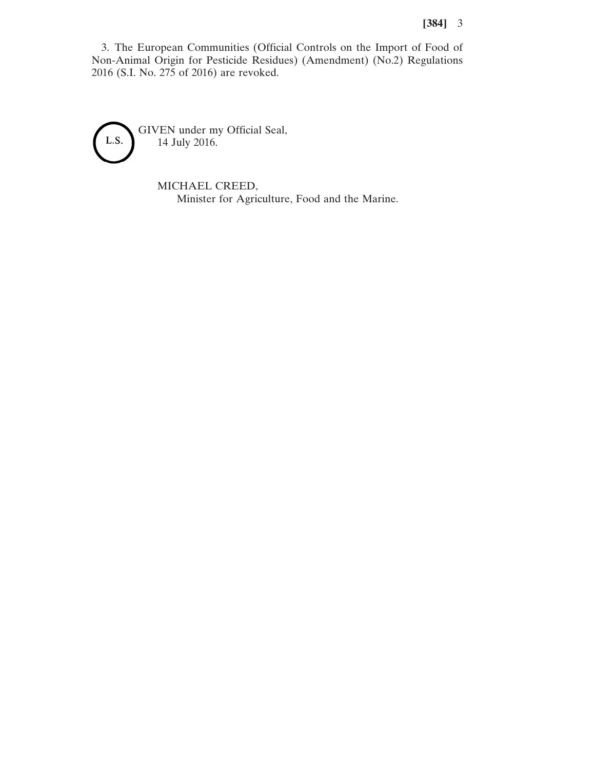## **[384]** 3

3. The European Communities (Official Controls on the Import of Food of Non-Animal Origin for Pesticide Residues) (Amendment) (No.2) Regulations 2016 (S.I. No. 275 of 2016) are revoked.



MICHAEL CREED, Minister for Agriculture, Food and the Marine.